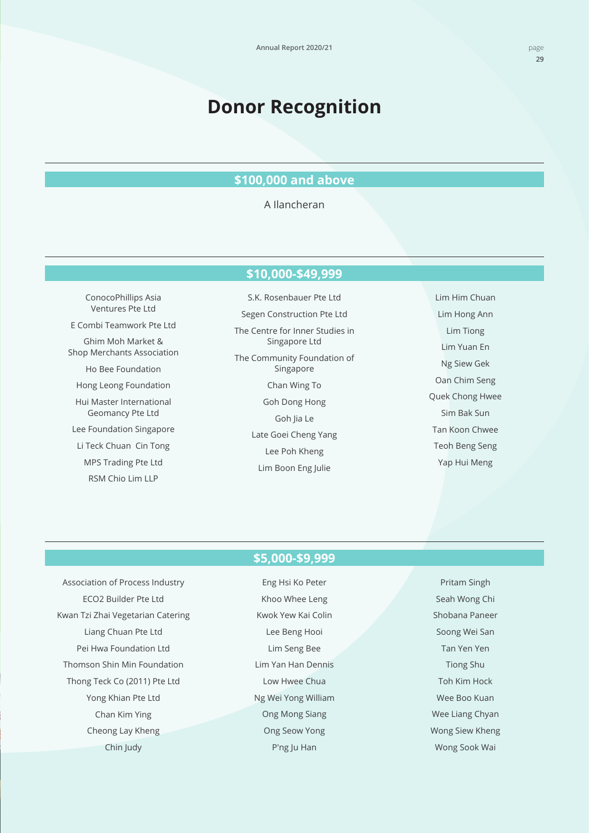# **Donor Recognition**

## **\$100,000 and above**

#### A Ilancheran

#### **\$10,000-\$49,999**

ConocoPhillips Asia Ventures Pte Ltd E Combi Teamwork Pte Ltd Ghim Moh Market & Shop Merchants Association Ho Bee Foundation Hong Leong Foundation Hui Master International Geomancy Pte Ltd Lee Foundation Singapore Li Teck Chuan Cin Tong MPS Trading Pte Ltd RSM Chio Lim LLP

S.K. Rosenbauer Pte Ltd Segen Construction Pte Ltd The Centre for Inner Studies in Singapore Ltd The Community Foundation of Singapore Chan Wing To Goh Dong Hong Goh lia Le Late Goei Cheng Yang Lee Poh Kheng Lim Boon Eng Julie

Lim Him Chuan Lim Hong Ann Lim Tiong Lim Yuan En Ng Siew Gek Oan Chim Seng Quek Chong Hwee Sim Bak Sun Tan Koon Chwee Teoh Beng Seng Yap Hui Meng

#### **\$5,000-\$9,999**

Association of Process Industry ECO2 Builder Pte Ltd Kwan Tzi Zhai Vegetarian Catering Liang Chuan Pte Ltd Pei Hwa Foundation Ltd Thomson Shin Min Foundation Thong Teck Co (2011) Pte Ltd Yong Khian Pte Ltd Chan Kim Ying Cheong Lay Kheng Chin Judy

Eng Hsi Ko Peter Khoo Whee Leng Kwok Yew Kai Colin Lee Beng Hooi Lim Seng Bee Lim Yan Han Dennis Low Hwee Chua Ng Wei Yong William Ong Mong Siang Ong Seow Yong P'ng Ju Han

Pritam Singh Seah Wong Chi Shobana Paneer Soong Wei San Tan Yen Yen Tiong Shu Toh Kim Hock Wee Boo Kuan Wee Liang Chyan Wong Siew Kheng Wong Sook Wai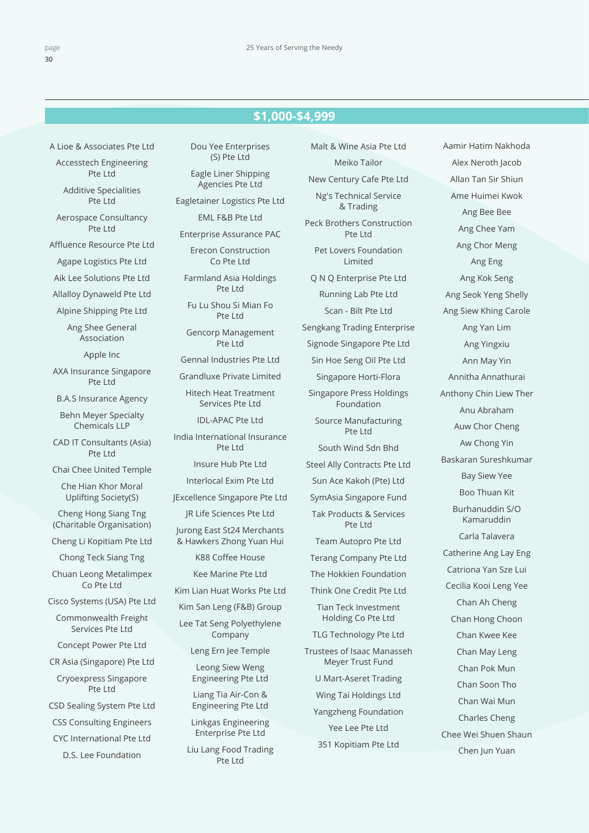## **\$1,000-\$4,999 \$1,000-\$4,999**

A Lioe & Associates Pte Ltd

Accesstech Engineering Pte Ltd

Additive Specialities Pte Ltd

Aerospace Consultancy Pte Ltd

Affluence Resource Pte Ltd

Agape Logistics Pte Ltd

Aik Lee Solutions Pte Ltd

Allalloy Dynaweld Pte Ltd

Alpine Shipping Pte Ltd

Ang Shee General Association

Apple Inc

AXA Insurance Singapore Pte Ltd

B.A.S Insurance Agency

Behn Meyer Specialty Chemicals LLP

CAD IT Consultants (Asia) Pte Ltd

Chai Chee United Temple

Che Hian Khor Moral Uplifting Society(S)

Cheng Hong Siang Tng (Charitable Organisation)

Cheng Li Kopitiam Pte Ltd

Chong Teck Siang Tng

Chuan Leong Metalimpex Co Pte Ltd

Cisco Systems (USA) Pte Ltd

Commonwealth Freight Services Pte Ltd

Concept Power Pte Ltd

CR Asia (Singapore) Pte Ltd

Cryoexpress Singapore Pte Ltd

CSD Sealing System Pte Ltd

CSS Consulting Engineers

CYC International Pte Ltd

D.S. Lee Foundation

Dou Yee Enterprises (S) Pte Ltd

Eagle Liner Shipping Agencies Pte Ltd

Eagletainer Logistics Pte Ltd

EML F&B Pte Ltd

Enterprise Assurance PAC

Erecon Construction Co Pte Ltd

Farmland Asia Holdings Pte Ltd

Fu Lu Shou Si Mian Fo Pte Ltd

Gencorp Management Pte Ltd

Gennal Industries Pte Ltd

Grandluxe Private Limited

Hitech Heat Treatment Services Pte Ltd

IDL-APAC Pte Ltd

India International Insurance Pte Ltd

Insure Hub Pte Ltd

Interlocal Exim Pte Ltd

JExcellence Singapore Pte Ltd

JR Life Sciences Pte Ltd Jurong East St24 Merchants & Hawkers Zhong Yuan Hui

K88 Coffee House

Kee Marine Pte Ltd

Kim Lian Huat Works Pte Ltd

Kim San Leng (F&B) Group

Lee Tat Seng Polyethylene Company

Leng Ern Jee Temple

Leong Siew Weng Engineering Pte Ltd

Liang Tia Air-Con & Engineering Pte Ltd

Linkgas Engineering Enterprise Pte Ltd

Liu Lang Food Trading Pte Ltd

Malt & Wine Asia Pte Ltd Meiko Tailor New Century Cafe Pte Ltd Ng's Technical Service & Trading Peck Brothers Construction Pte Ltd Pet Lovers Foundation Limited Q N Q Enterprise Pte Ltd Running Lab Pte Ltd Scan - Bilt Pte Ltd Sengkang Trading Enterprise Signode Singapore Pte Ltd Sin Hoe Seng Oil Pte Ltd Singapore Horti-Flora Singapore Press Holdings Foundation Source Manufacturing Pte Ltd South Wind Sdn Bhd Steel Ally Contracts Pte Ltd Sun Ace Kakoh (Pte) Ltd SymAsia Singapore Fund Tak Products & Services Pte Ltd Team Autopro Pte Ltd Terang Company Pte Ltd The Hokkien Foundation Think One Credit Pte Ltd Tian Teck Investment Holding Co Pte Ltd TLG Technology Pte Ltd Trustees of Isaac Manasseh Meyer Trust Fund U Mart-Aseret Trading Wing Tai Holdings Ltd

Yangzheng Foundation Yee Lee Pte Ltd 351 Kopitiam Pte Ltd

Aamir Hatim Nakhoda Alex Neroth Jacob Allan Tan Sir Shiun Ame Huimei Kwok Ang Bee Bee Ang Chee Yam Ang Chor Meng Ang Eng Ang Kok Seng Ang Seok Yeng Shelly Ang Siew Khing Carole Ang Yan Lim Ang Yingxiu Ann May Yin Annitha Annathurai Anthony Chin Liew Ther Anu Abraham Auw Chor Cheng Aw Chong Yin Baskaran Sureshkumar Bay Siew Yee Boo Thuan Kit Burhanuddin S/O Kamaruddin Carla Talavera Catherine Ang Lay Eng Catriona Yan Sze Lui Cecilia Kooi Leng Yee Chan Ah Cheng Chan Hong Choon Chan Kwee Kee Chan May Leng Chan Pok Mun Chan Soon Tho Chan Wai Mun Charles Cheng Chee Wei Shuen Shaun Chen Jun Yuan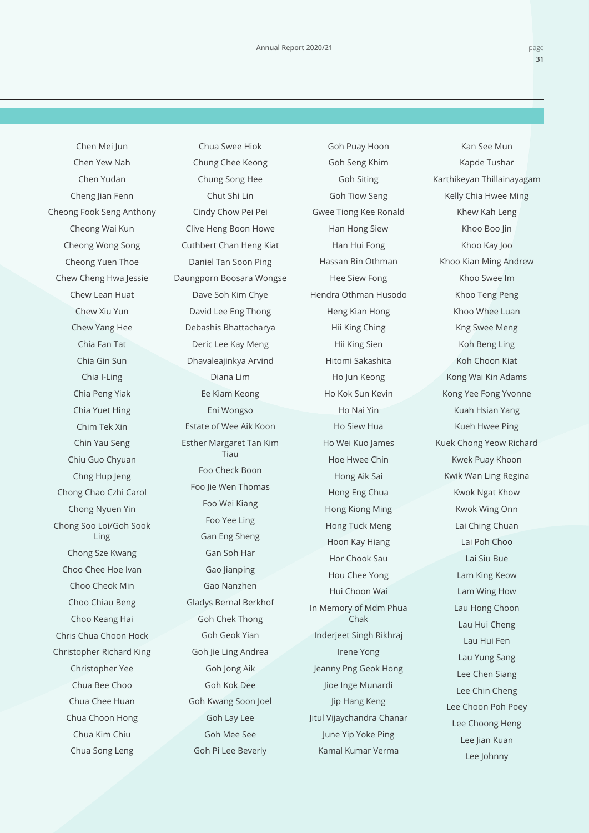Chen Mei Jun Chen Yew Nah Chen Yudan Cheng Jian Fenn Cheong Fook Seng Anthony Cheong Wai Kun Cheong Wong Song Cheong Yuen Thoe Chew Cheng Hwa Jessie Chew Lean Huat Chew Xiu Yun Chew Yang Hee Chia Fan Tat Chia Gin Sun Chia I-Ling Chia Peng Yiak Chia Yuet Hing Chim Tek Xin Chin Yau Seng Chiu Guo Chyuan Chng Hup Jeng Chong Chao Czhi Carol Chong Nyuen Yin Chong Soo Loi/Goh Sook Ling Chong Sze Kwang Choo Chee Hoe Ivan Choo Cheok Min Choo Chiau Beng Choo Keang Hai Chris Chua Choon Hock Christopher Richard King Christopher Yee Chua Bee Choo Chua Chee Huan Chua Choon Hong Chua Kim Chiu Chua Song Leng

Chua Swee Hiok Chung Chee Keong Chung Song Hee Chut Shi Lin Cindy Chow Pei Pei Clive Heng Boon Howe Cuthbert Chan Heng Kiat Daniel Tan Soon Ping Daungporn Boosara Wongse Dave Soh Kim Chye David Lee Eng Thong Debashis Bhattacharya Deric Lee Kay Meng Dhavaleajinkya Arvind Diana Lim Ee Kiam Keong Eni Wongso Estate of Wee Aik Koon Esther Margaret Tan Kim Tiau Foo Check Boon Foo Jie Wen Thomas Foo Wei Kiang Foo Yee Ling Gan Eng Sheng Gan Soh Har Gao Jianping Gao Nanzhen Gladys Bernal Berkhof Goh Chek Thong Goh Geok Yian Goh Jie Ling Andrea Goh Jong Aik Goh Kok Dee Goh Kwang Soon Joel Goh Lay Lee Goh Mee See Goh Pi Lee Beverly

Goh Puay Hoon Goh Seng Khim Goh Siting Goh Tiow Seng Gwee Tiong Kee Ronald Han Hong Siew Han Hui Fong Hassan Bin Othman Hee Siew Fong Hendra Othman Husodo Heng Kian Hong Hii King Ching Hii King Sien Hitomi Sakashita Ho Jun Keong Ho Kok Sun Kevin Ho Nai Yin Ho Siew Hua Ho Wei Kuo James Hoe Hwee Chin Hong Aik Sai Hong Eng Chua Hong Kiong Ming Hong Tuck Meng Hoon Kay Hiang Hor Chook Sau Hou Chee Yong Hui Choon Wai In Memory of Mdm Phua Chak Inderjeet Singh Rikhraj Irene Yong Jeanny Png Geok Hong Jioe Inge Munardi Jip Hang Keng Jitul Vijaychandra Chanar June Yip Yoke Ping Kamal Kumar Verma

Kan See Mun Kapde Tushar Karthikeyan Thillainayagam Kelly Chia Hwee Ming Khew Kah Leng Khoo Boo Jin Khoo Kay Joo Khoo Kian Ming Andrew Khoo Swee Im Khoo Teng Peng Khoo Whee Luan Kng Swee Meng Koh Beng Ling Koh Choon Kiat Kong Wai Kin Adams Kong Yee Fong Yvonne Kuah Hsian Yang Kueh Hwee Ping Kuek Chong Yeow Richard Kwek Puay Khoon Kwik Wan Ling Regina Kwok Ngat Khow Kwok Wing Onn Lai Ching Chuan Lai Poh Choo Lai Siu Bue Lam King Keow Lam Wing How Lau Hong Choon Lau Hui Cheng Lau Hui Fen Lau Yung Sang Lee Chen Siang Lee Chin Cheng Lee Choon Poh Poey Lee Choong Heng Lee Jian Kuan Lee Johnny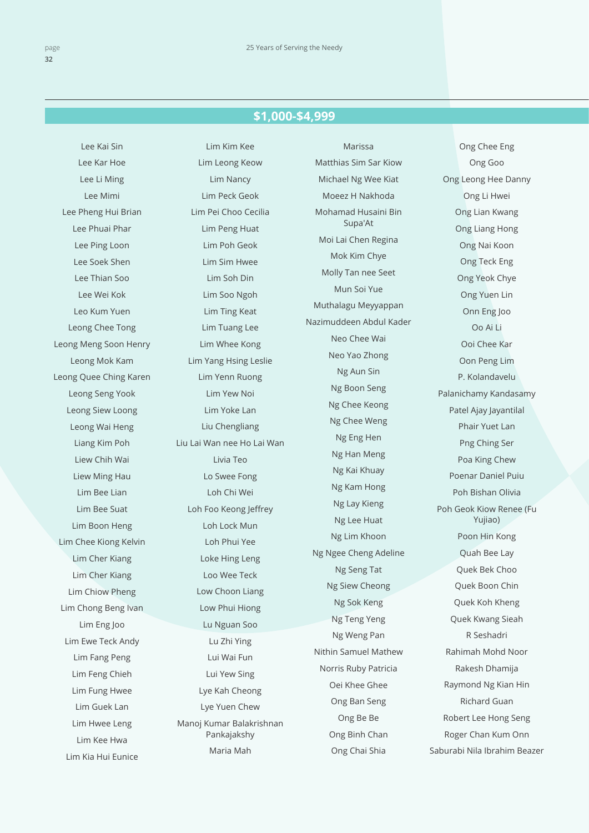### **\$1,000-\$4,999 \$1,000-\$4,999**

Lee Kai Sin Lee Kar Hoe Lee Li Ming Lee Mimi Lee Pheng Hui Brian Lee Phuai Phar Lee Ping Loon Lee Soek Shen Lee Thian Soo Lee Wei Kok Leo Kum Yuen Leong Chee Tong Leong Meng Soon Henry Leong Mok Kam Leong Quee Ching Karen Leong Seng Yook Leong Siew Loong Leong Wai Heng Liang Kim Poh Liew Chih Wai Liew Ming Hau Lim Bee Lian Lim Bee Suat Lim Boon Heng Lim Chee Kiong Kelvin Lim Cher Kiang Lim Cher Kiang Lim Chiow Pheng Lim Chong Beng Ivan Lim Eng Joo Lim Ewe Teck Andy Lim Fang Peng Lim Feng Chieh Lim Fung Hwee Lim Guek Lan Lim Hwee Leng Lim Kee Hwa Lim Kia Hui Eunice

Lim Kim Kee Lim Leong Keow Lim Nancy Lim Peck Geok Lim Pei Choo Cecilia Lim Peng Huat Lim Poh Geok Lim Sim Hwee Lim Soh Din Lim Soo Ngoh Lim Ting Keat Lim Tuang Lee Lim Whee Kong Lim Yang Hsing Leslie Lim Yenn Ruong Lim Yew Noi Lim Yoke Lan Liu Chengliang Liu Lai Wan nee Ho Lai Wan Livia Teo Lo Swee Fong Loh Chi Wei Loh Foo Keong Jeffrey Loh Lock Mun Loh Phui Yee Loke Hing Leng Loo Wee Teck Low Choon Liang Low Phui Hiong Lu Nguan Soo Lu Zhi Ying Lui Wai Fun Lui Yew Sing Lye Kah Cheong Lye Yuen Chew Manoj Kumar Balakrishnan Pankajakshy Maria Mah

Marissa Matthias Sim Sar Kiow Michael Ng Wee Kiat Moeez H Nakhoda Mohamad Husaini Bin Supa'At Moi Lai Chen Regina Mok Kim Chye Molly Tan nee Seet Mun Soi Yue Muthalagu Meyyappan Nazimuddeen Abdul Kader Neo Chee Wai Neo Yao Zhong Ng Aun Sin Ng Boon Seng Ng Chee Keong Ng Chee Weng Ng Eng Hen Ng Han Meng Ng Kai Khuay Ng Kam Hong Ng Lay Kieng Ng Lee Huat Ng Lim Khoon Ng Ngee Cheng Adeline Ng Seng Tat Ng Siew Cheong Ng Sok Keng Ng Teng Yeng Ng Weng Pan Nithin Samuel Mathew Norris Ruby Patricia Oei Khee Ghee Ong Ban Seng Ong Be Be Ong Binh Chan Ong Chai Shia

Ong Chee Eng Ong Goo Ong Leong Hee Danny Ong Li Hwei Ong Lian Kwang Ong Liang Hong Ong Nai Koon Ong Teck Eng Ong Yeok Chye Ong Yuen Lin Onn Eng Joo Oo Ai Li Ooi Chee Kar Oon Peng Lim P. Kolandavelu Palanichamy Kandasamy Patel Ajay Jayantilal Phair Yuet Lan Png Ching Ser Poa King Chew Poenar Daniel Puiu Poh Bishan Olivia Poh Geok Kiow Renee (Fu Yujiao) Poon Hin Kong Quah Bee Lay Quek Bek Choo Quek Boon Chin Quek Koh Kheng Quek Kwang Sieah R Seshadri Rahimah Mohd Noor Rakesh Dhamija Raymond Ng Kian Hin Richard Guan Robert Lee Hong Seng Roger Chan Kum Onn Saburabi Nila Ibrahim Beazer